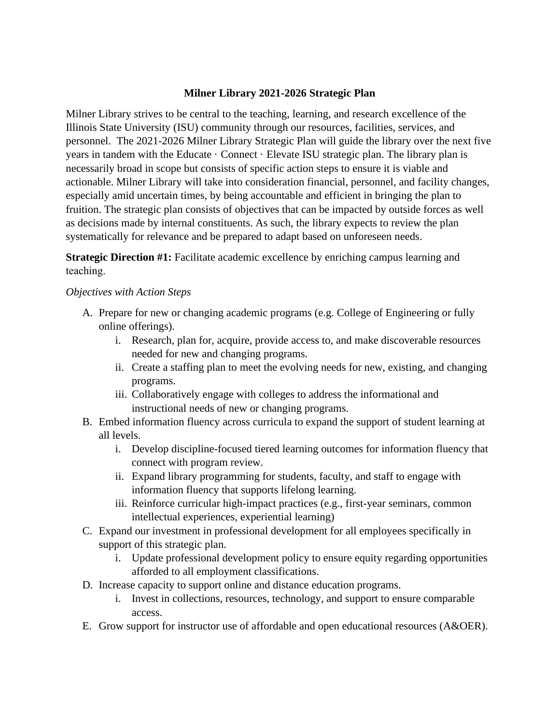### **Milner Library 2021-2026 Strategic Plan**

Milner Library strives to be central to the teaching, learning, and research excellence of the Illinois State University (ISU) community through our resources, facilities, services, and personnel. The 2021-2026 Milner Library Strategic Plan will guide the library over the next five years in tandem with the Educate · Connect · Elevate ISU strategic plan. The library plan is necessarily broad in scope but consists of specific action steps to ensure it is viable and actionable. Milner Library will take into consideration financial, personnel, and facility changes, especially amid uncertain times, by being accountable and efficient in bringing the plan to fruition. The strategic plan consists of objectives that can be impacted by outside forces as well as decisions made by internal constituents. As such, the library expects to review the plan systematically for relevance and be prepared to adapt based on unforeseen needs.

**Strategic Direction #1:** Facilitate academic excellence by enriching campus learning and teaching. 

- A. Prepare for new or changing academic programs (e.g. College of Engineering or fully online offerings).
	- i. Research, plan for, acquire, provide access to, and make discoverable resources needed for new and changing programs.
	- ii. Create a staffing plan to meet the evolving needs for new, existing, and changing programs.
	- iii. Collaboratively engage with colleges to address the informational and instructional needs of new or changing programs.
- B. Embed information fluency across curricula to expand the support of student learning at all levels.
	- i. Develop discipline-focused tiered learning outcomes for information fluency that connect with program review.
	- ii. Expand library programming for students, faculty, and staff to engage with information fluency that supports lifelong learning.
	- iii. Reinforce curricular high-impact practices (e.g., first-year seminars, common intellectual experiences, experiential learning)
- C. Expand our investment in professional development for all employees specifically in support of this strategic plan.
	- i. Update professional development policy to ensure equity regarding opportunities afforded to all employment classifications.
- D. Increase capacity to support online and distance education programs.
	- i. Invest in collections, resources, technology, and support to ensure comparable access.
- E. Grow support for instructor use of affordable and open educational resources (A&OER).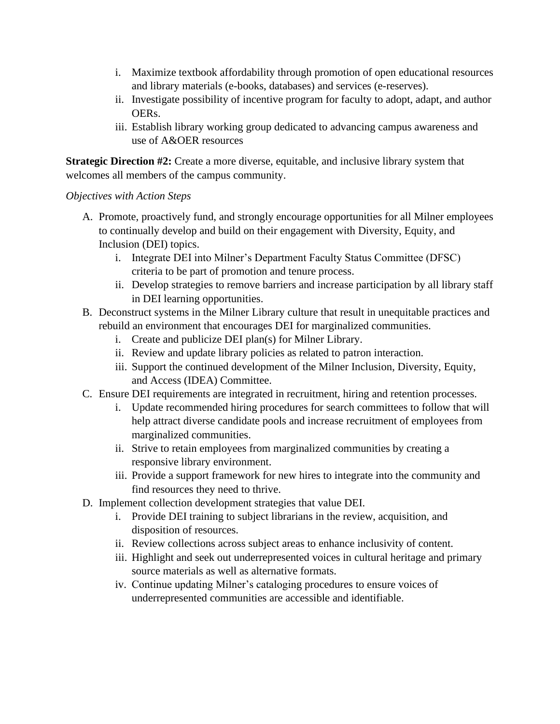- i. Maximize textbook affordability through promotion of open educational resources and library materials (e-books, databases) and services (e-reserves).
- ii. Investigate possibility of incentive program for faculty to adopt, adapt, and author OERs.
- iii. Establish library working group dedicated to advancing campus awareness and use of A&OER resources

**Strategic Direction #2:** Create a more diverse, equitable, and inclusive library system that welcomes all members of the campus community.

- A. Promote, proactively fund, and strongly encourage opportunities for all Milner employees to continually develop and build on their engagement with Diversity, Equity, and Inclusion (DEI) topics.
	- i. Integrate DEI into Milner's Department Faculty Status Committee (DFSC) criteria to be part of promotion and tenure process.
	- ii. Develop strategies to remove barriers and increase participation by all library staff in DEI learning opportunities.
- B. Deconstruct systems in the Milner Library culture that result in unequitable practices and rebuild an environment that encourages DEI for marginalized communities.
	- i. Create and publicize DEI plan(s) for Milner Library.
	- ii. Review and update library policies as related to patron interaction.
	- iii. Support the continued development of the Milner Inclusion, Diversity, Equity, and Access (IDEA) Committee.
- C. Ensure DEI requirements are integrated in recruitment, hiring and retention processes.
	- i. Update recommended hiring procedures for search committees to follow that will help attract diverse candidate pools and increase recruitment of employees from marginalized communities.
	- ii. Strive to retain employees from marginalized communities by creating a responsive library environment.
	- iii. Provide a support framework for new hires to integrate into the community and find resources they need to thrive.
- D. Implement collection development strategies that value DEI.
	- i. Provide DEI training to subject librarians in the review, acquisition, and disposition of resources.
	- ii. Review collections across subject areas to enhance inclusivity of content.
	- iii. Highlight and seek out underrepresented voices in cultural heritage and primary source materials as well as alternative formats.
	- iv. Continue updating Milner's cataloging procedures to ensure voices of underrepresented communities are accessible and identifiable.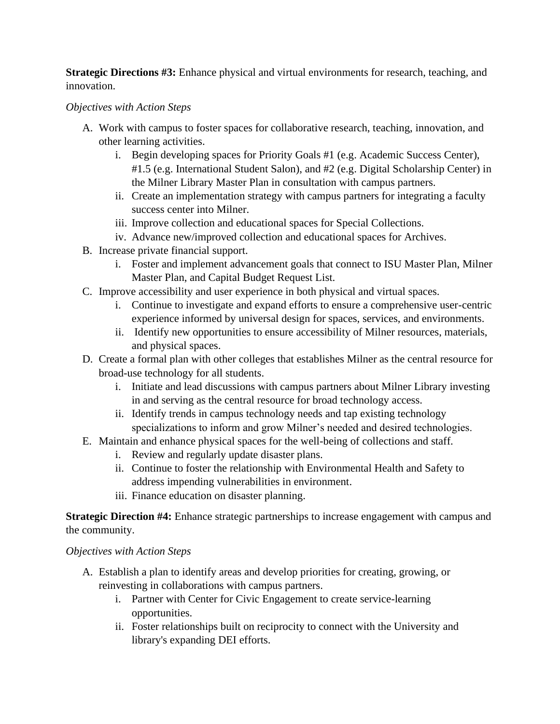**Strategic Directions #3:** Enhance physical and virtual environments for research, teaching, and innovation.

## *Objectives with Action Steps*

- A. Work with campus to foster spaces for collaborative research, teaching, innovation, and other learning activities.
	- i. Begin developing spaces for Priority Goals #1 (e.g. Academic Success Center), #1.5 (e.g. International Student Salon), and #2 (e.g. Digital Scholarship Center) in the Milner Library Master Plan in consultation with campus partners.
	- ii. Create an implementation strategy with campus partners for integrating a faculty success center into Milner.
	- iii. Improve collection and educational spaces for Special Collections.
	- iv. Advance new/improved collection and educational spaces for Archives.
- B. Increase private financial support.
	- i. Foster and implement advancement goals that connect to ISU Master Plan, Milner Master Plan, and Capital Budget Request List.
- C. Improve accessibility and user experience in both physical and virtual spaces.
	- i. Continue to investigate and expand efforts to ensure a comprehensive user-centric experience informed by universal design for spaces, services, and environments.
	- ii. Identify new opportunities to ensure accessibility of Milner resources, materials, and physical spaces.
- D. Create a formal plan with other colleges that establishes Milner as the central resource for broad-use technology for all students.
	- i. Initiate and lead discussions with campus partners about Milner Library investing in and serving as the central resource for broad technology access.
	- ii. Identify trends in campus technology needs and tap existing technology specializations to inform and grow Milner's needed and desired technologies.
- E. Maintain and enhance physical spaces for the well-being of collections and staff.
	- i. Review and regularly update disaster plans.
	- ii. Continue to foster the relationship with Environmental Health and Safety to address impending vulnerabilities in environment.
	- iii. Finance education on disaster planning.

**Strategic Direction #4:** Enhance strategic partnerships to increase engagement with campus and the community.

- A. Establish a plan to identify areas and develop priorities for creating, growing, or reinvesting in collaborations with campus partners.
	- i. Partner with Center for Civic Engagement to create service-learning opportunities.
	- ii. Foster relationships built on reciprocity to connect with the University and library's expanding DEI efforts.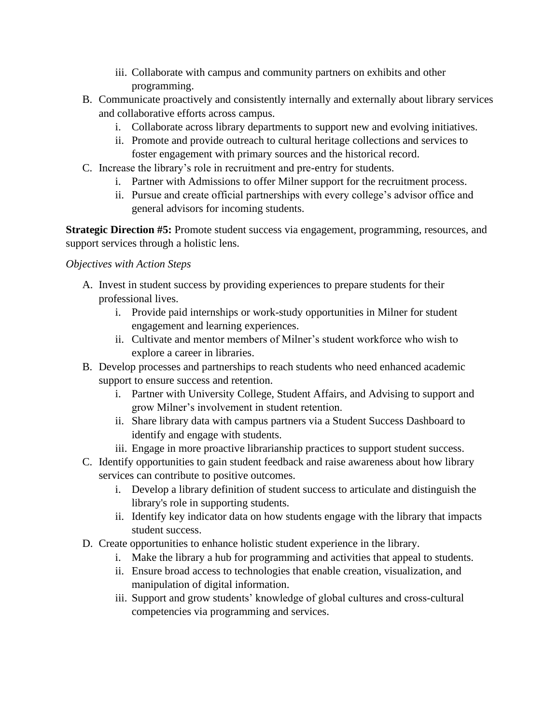- iii. Collaborate with campus and community partners on exhibits and other programming.
- B. Communicate proactively and consistently internally and externally about library services and collaborative efforts across campus.
	- i. Collaborate across library departments to support new and evolving initiatives.
	- ii. Promote and provide outreach to cultural heritage collections and services to foster engagement with primary sources and the historical record.
- C. Increase the library's role in recruitment and pre-entry for students.
	- i. Partner with Admissions to offer Milner support for the recruitment process.
	- ii. Pursue and create official partnerships with every college's advisor office and general advisors for incoming students.

**Strategic Direction #5:** Promote student success via engagement, programming, resources, and support services through a holistic lens.

- A. Invest in student success by providing experiences to prepare students for their professional lives.
	- i. Provide paid internships or work-study opportunities in Milner for student engagement and learning experiences.
	- ii. Cultivate and mentor members of Milner's student workforce who wish to explore a career in libraries.
- B. Develop processes and partnerships to reach students who need enhanced academic support to ensure success and retention.
	- i. Partner with University College, Student Affairs, and Advising to support and grow Milner's involvement in student retention.
	- ii. Share library data with campus partners via a Student Success Dashboard to identify and engage with students.
	- iii. Engage in more proactive librarianship practices to support student success.
- C. Identify opportunities to gain student feedback and raise awareness about how library services can contribute to positive outcomes.
	- i. Develop a library definition of student success to articulate and distinguish the library's role in supporting students.
	- ii. Identify key indicator data on how students engage with the library that impacts student success.
- D. Create opportunities to enhance holistic student experience in the library.
	- i. Make the library a hub for programming and activities that appeal to students.
	- ii. Ensure broad access to technologies that enable creation, visualization, and manipulation of digital information.
	- iii. Support and grow students' knowledge of global cultures and cross-cultural competencies via programming and services.